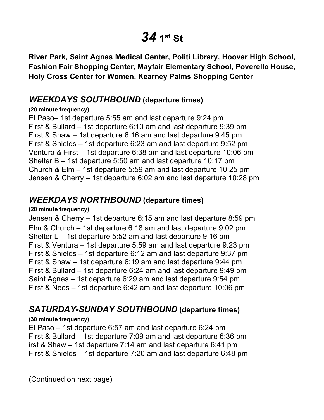# *34* **1st St**

 **River Park, Saint Agnes Medical Center, Politi Library, Hoover High School, Fashion Fair Shopping Center, Mayfair Elementary School, Poverello House, Holy Cross Center for Women, Kearney Palms Shopping Center** 

## *WEEKDAYS SOUTHBOUND* **(departure times)**

#### **(20 minute frequency)**

 El Paso– 1st departure 5:55 am and last departure 9:24 pm First & Bullard – 1st departure 6:10 am and last departure 9:39 pm First & Shaw – 1st departure 6:16 am and last departure 9:45 pm First & Shields – 1st departure 6:23 am and last departure 9:52 pm Ventura & First – 1st departure 6:38 am and last departure 10:06 pm Shelter B – 1st departure 5:50 am and last departure 10:17 pm Church & Elm – 1st departure 5:59 am and last departure 10:25 pm Jensen & Cherry – 1st departure 6:02 am and last departure 10:28 pm

## *WEEKDAYS NORTHBOUND* **(departure times)**

#### **(20 minute frequency)**

 Jensen & Cherry – 1st departure 6:15 am and last departure 8:59 pm Elm & Church – 1st departure 6:18 am and last departure 9:02 pm Shelter L – 1st departure 5:52 am and last departure 9:16 pm First & Ventura – 1st departure 5:59 am and last departure 9:23 pm First & Shields – 1st departure 6:12 am and last departure 9:37 pm First & Shaw – 1st departure 6:19 am and last departure 9:44 pm First & Bullard – 1st departure 6:24 am and last departure 9:49 pm Saint Agnes – 1st departure 6:29 am and last departure 9:54 pm First & Nees – 1st departure 6:42 am and last departure 10:06 pm

## *SATURDAY-SUNDAY SOUTHBOUND* **(departure times)**

#### **(30 minute frequency)**

 El Paso – 1st departure 6:57 am and last departure 6:24 pm First & Bullard – 1st departure 7:09 am and last departure 6:36 pm First & Shields – 1st departure 7:20 am and last departure 6:48 pm irst & Shaw – 1st departure 7:14 am and last departure 6:41 pm

(Continued on next page)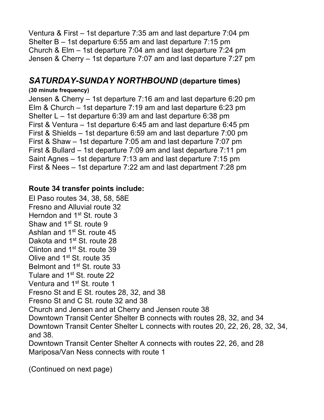Ventura & First – 1st departure 7:35 am and last departure 7:04 pm Shelter B – 1st departure 6:55 am and last departure 7:15 pm Church & Elm – 1st departure 7:04 am and last departure 7:24 pm Jensen & Cherry – 1st departure 7:07 am and last departure 7:27 pm

## *SATURDAY-SUNDAY NORTHBOUND* **(departure times)**

#### **(30 minute frequency)**

 Jensen & Cherry – 1st departure 7:16 am and last departure 6:20 pm Elm & Church – 1st departure 7:19 am and last departure 6:23 pm Shelter L – 1st departure 6:39 am and last departure 6:38 pm First & Ventura – 1st departure 6:45 am and last departure 6:45 pm First & Shields – 1st departure 6:59 am and last departure 7:00 pm First & Shaw – 1st departure 7:05 am and last departure 7:07 pm First & Bullard – 1st departure 7:09 am and last departure 7:11 pm Saint Agnes – 1st departure 7:13 am and last departure 7:15 pm First & Nees – 1st departure 7:22 am and last department 7:28 pm

#### **Route 34 transfer points include:**

 El Paso routes 34, 38, 58, 58E Herndon and 1<sup>st</sup> St. route 3 Shaw and 1<sup>st</sup> St. route 9 Ashlan and 1<sup>st</sup> St. route 45 Dakota and 1<sup>st</sup> St. route 28 Clinton and 1<sup>st</sup> St. route 39 Olive and 1<sup>st</sup> St. route 35 Belmont and 1<sup>st</sup> St. route 33 Tulare and 1<sup>st</sup> St. route 22 Ventura and 1<sup>st</sup> St. route 1 Fresno St and E St. routes 28, 32, and 38 Fresno St and C St. route 32 and 38 Church and Jensen and at Cherry and Jensen route 38 Downtown Transit Center Shelter B connects with routes 28, 32, and 34 Downtown Transit Center Shelter L connects with routes 20, 22, 26, 28, 32, 34, Downtown Transit Center Shelter A connects with routes 22, 26, and 28 Mariposa/Van Ness connects with route 1 Fresno and Alluvial route 32 and 38.

(Continued on next page)